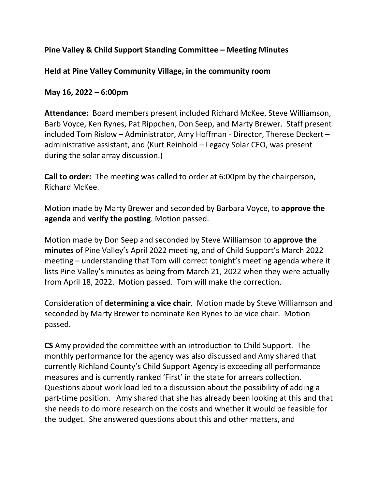## **Pine Valley & Child Support Standing Committee – Meeting Minutes**

## **Held at Pine Valley Community Village, in the community room**

## **May 16, 2022 – 6:00pm**

**Attendance:** Board members present included Richard McKee, Steve Williamson, Barb Voyce, Ken Rynes, Pat Rippchen, Don Seep, and Marty Brewer. Staff present included Tom Rislow – Administrator, Amy Hoffman - Director, Therese Deckert – administrative assistant, and (Kurt Reinhold – Legacy Solar CEO, was present during the solar array discussion.)

**Call to order:** The meeting was called to order at 6:00pm by the chairperson, Richard McKee.

Motion made by Marty Brewer and seconded by Barbara Voyce, to **approve the agenda** and **verify the posting**. Motion passed.

Motion made by Don Seep and seconded by Steve Williamson to **approve the minutes** of Pine Valley's April 2022 meeting, and of Child Support's March 2022 meeting – understanding that Tom will correct tonight's meeting agenda where it lists Pine Valley's minutes as being from March 21, 2022 when they were actually from April 18, 2022. Motion passed. Tom will make the correction.

Consideration of **determining a vice chair**. Motion made by Steve Williamson and seconded by Marty Brewer to nominate Ken Rynes to be vice chair. Motion passed.

**CS** Amy provided the committee with an introduction to Child Support. The monthly performance for the agency was also discussed and Amy shared that currently Richland County's Child Support Agency is exceeding all performance measures and is currently ranked 'First' in the state for arrears collection. Questions about work load led to a discussion about the possibility of adding a part-time position. Amy shared that she has already been looking at this and that she needs to do more research on the costs and whether it would be feasible for the budget. She answered questions about this and other matters, and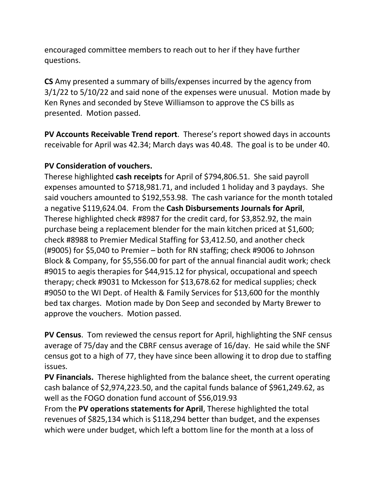encouraged committee members to reach out to her if they have further questions.

**CS** Amy presented a summary of bills/expenses incurred by the agency from 3/1/22 to 5/10/22 and said none of the expenses were unusual. Motion made by Ken Rynes and seconded by Steve Williamson to approve the CS bills as presented. Motion passed.

**PV Accounts Receivable Trend report**. Therese's report showed days in accounts receivable for April was 42.34; March days was 40.48. The goal is to be under 40.

## **PV Consideration of vouchers.**

Therese highlighted **cash receipts** for April of \$794,806.51. She said payroll expenses amounted to \$718,981.71, and included 1 holiday and 3 paydays. She said vouchers amounted to \$192,553.98. The cash variance for the month totaled a negative \$119,624.04. From the **Cash Disbursements Journals for April**, Therese highlighted check #8987 for the credit card, for \$3,852.92, the main purchase being a replacement blender for the main kitchen priced at \$1,600; check #8988 to Premier Medical Staffing for \$3,412.50, and another check (#9005) for \$5,040 to Premier – both for RN staffing; check #9006 to Johnson Block & Company, for \$5,556.00 for part of the annual financial audit work; check #9015 to aegis therapies for \$44,915.12 for physical, occupational and speech therapy; check #9031 to Mckesson for \$13,678.62 for medical supplies; check #9050 to the WI Dept. of Health & Family Services for \$13,600 for the monthly bed tax charges. Motion made by Don Seep and seconded by Marty Brewer to approve the vouchers. Motion passed.

**PV Census**. Tom reviewed the census report for April, highlighting the SNF census average of 75/day and the CBRF census average of 16/day. He said while the SNF census got to a high of 77, they have since been allowing it to drop due to staffing issues.

**PV Financials.** Therese highlighted from the balance sheet, the current operating cash balance of \$2,974,223.50, and the capital funds balance of \$961,249.62, as well as the FOGO donation fund account of \$56,019.93

From the **PV operations statements for April**, Therese highlighted the total revenues of \$825,134 which is \$118,294 better than budget, and the expenses which were under budget, which left a bottom line for the month at a loss of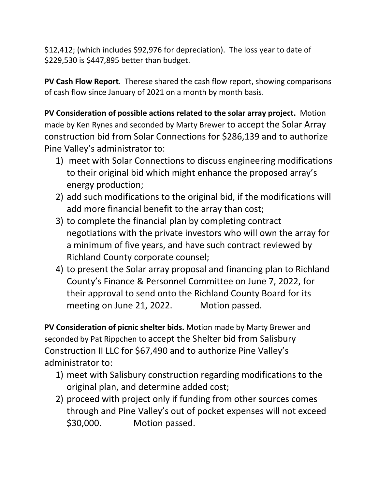\$12,412; (which includes \$92,976 for depreciation). The loss year to date of \$229,530 is \$447,895 better than budget.

**PV Cash Flow Report**. Therese shared the cash flow report, showing comparisons of cash flow since January of 2021 on a month by month basis.

**PV Consideration of possible actions related to the solar array project.** Motion made by Ken Rynes and seconded by Marty Brewer to accept the Solar Array construction bid from Solar Connections for \$286,139 and to authorize Pine Valley's administrator to:

- 1) meet with Solar Connections to discuss engineering modifications to their original bid which might enhance the proposed array's energy production;
- 2) add such modifications to the original bid, if the modifications will add more financial benefit to the array than cost;
- 3) to complete the financial plan by completing contract negotiations with the private investors who will own the array for a minimum of five years, and have such contract reviewed by Richland County corporate counsel;
- 4) to present the Solar array proposal and financing plan to Richland County's Finance & Personnel Committee on June 7, 2022, for their approval to send onto the Richland County Board for its meeting on June 21, 2022. Motion passed.

**PV Consideration of picnic shelter bids.** Motion made by Marty Brewer and seconded by Pat Rippchen to accept the Shelter bid from Salisbury Construction II LLC for \$67,490 and to authorize Pine Valley's administrator to:

- 1) meet with Salisbury construction regarding modifications to the original plan, and determine added cost;
- 2) proceed with project only if funding from other sources comes through and Pine Valley's out of pocket expenses will not exceed \$30,000. Motion passed.